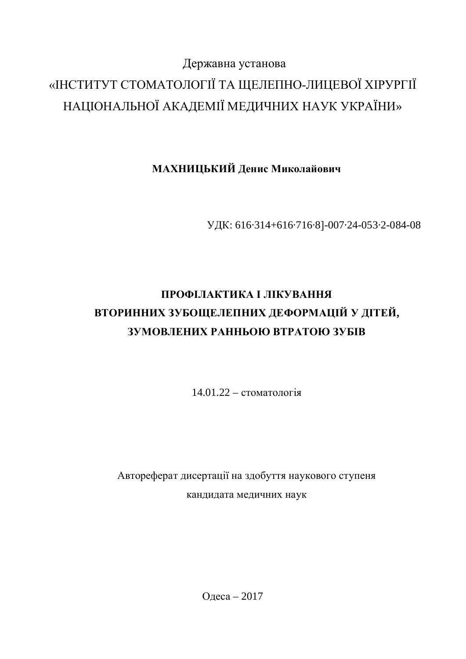# Державна установа «ІНСТИТУТ СТОМАТОЛОГІЇ ТА ЩЕЛЕПНО-ЛИЦЕВОЇ ХІРУРГІЇ НАЦІОНАЛЬНОЇ АКАДЕМІЇ МЕДИЧНИХ НАУК УКРАЇНИ»

## **МАХНИЦЬКИЙ Денис Миколайович**

УДК: 616·314+616·716·8]-007·24-053·2-084-08

# ПРОФІЛАКТИКА І ЛІКУВАННЯ ВТОРИННИХ ЗУБОЩЕЛЕПНИХ ДЕФОРМАЦІЙ У ДІТЕЙ, ЗУМОВЛЕНИХ РАННЬОЮ ВТРАТОЮ ЗУБІВ

 $14.01.22 -$  стоматологія

Автореферат дисертації на здобуття наукового ступеня кандидата медичних наук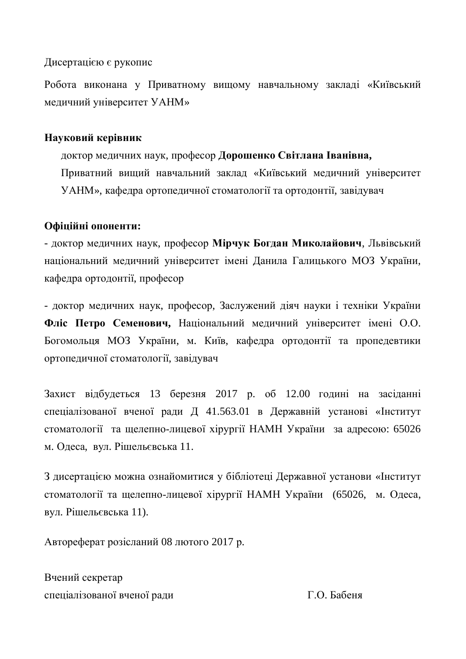Дисертацією є рукопис

Робота виконана у Приватному вищому навчальному закладі «Київський медичний університет УАНМ»

#### **Науковий керівник**

доктор медичних наук, професор Дорошенко Світлана Іванівна, Приватний вищий навчальний заклад «Київський медичний університет УАНМ», кафедра ортопедичної стоматології та ортодонтії, завідувач

### Офіційні опоненти:

- доктор медичних наук, професор Мірчук Богдан Миколайович, Львівський національний медичний університет імені Данила Галицького МОЗ України, кафелра ортолонтії, професор

- доктор медичних наук, професор, Заслужений діяч науки і техніки України Фліс Петро Семенович, Національний медичний університет імені О.О. Богомольця МОЗ України, м. Київ, кафедра ортодонтії та пропедевтики ортопедичної стоматології, завідувач

Захист відбудеться 13 березня 2017 р. об 12.00 годині на засіданні спеціалізованої вченої ради Д 41.563.01 в Державній установі «Інститут стоматології та щелепно-лицевої хірургії НАМН України за адресою: 65026 м. Одеса, вул. Рішельєвська 11.

З дисертацією можна ознайомитися у бібліотеці Державної установи «Інститут стоматології та щелепно-лицевої хірургії НАМН України (65026, м. Одеса, вул. Рішельєвська 11).

Автореферат розісланий 08 лютого 2017 р.

Вчений секретар спеціалізованої вченої ради П.О. Бабеня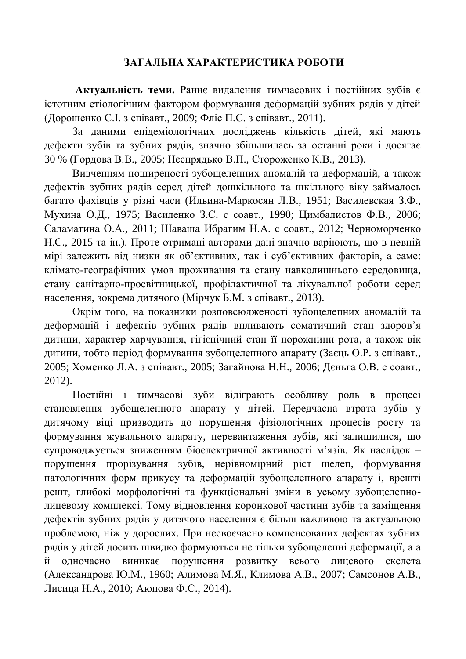#### ЗАГАЛЬНА ХАРАКТЕРИСТИКА РОБОТИ

Актуальність теми. Раннє видалення тимчасових і постійних зубів є істотним етіологічним фактором формування деформацій зубних рядів у дітей (Дорошенко С.І. з співавт., 2009; Фліс П.С. з співавт., 2011).

За даними епідеміологічних досліджень кількість дітей, які мають дефекти зубів та зубних рядів, значно збільшилась за останні роки і досягає 30 % (Гордова В.В., 2005; Неспрядько В.П., Стороженко К.В., 2013).

Вивченням поширеності зубощелепних аномалій та деформацій, а також дефектів зубних рядів серед дітей дошкільного та шкільного віку займалось багато фахівців у різні часи (Ильина-Маркосян Л.В., 1951; Василевская З.Ф., Мухина О.Д., 1975; Василенко З.С. с соавт., 1990; Цимбалистов Ф.В., 2006; Саламатина О.А., 2011; Шаваша Ибрагим Н.А. с соавт., 2012; Черноморченко Н.С., 2015 та ін.). Проте отримані авторами дані значно варіюють, що в певній мірі залежить від низки як об'єктивних, так і суб'єктивних факторів, а саме: клімато-географічних умов проживання та стану навколишнього середовища, стану санітарно-просвітницької, профілактичної та лікувальної роботи серед населення, зокрема дитячого (Мірчук Б.М. з співавт., 2013).

Окрім того, на показники розповсюдженості зубощелепних аномалій та деформацій і дефектів зубних рядів впливають соматичний стан здоров'я дитини, характер харчування, гігієнічний стан її порожнини рота, а також вік дитини, тобто період формування зубощелепного апарату (Заєць О.Р. з співавт., 2005; Хоменко Л.А. з співавт., 2005; Загайнова Н.Н., 2006; Дєньга О.В. с соавт., 2012).

Постійні і тимчасові зуби відіграють особливу роль в процесі становлення зубощелепного апарату у дітей. Передчасна втрата зубів у дитячому віці призводить до порушення фізіологічних процесів росту та формування жувального апарату, перевантаження зубів, які залишилися, що супроводжується зниженням біоелектричної активності м'язів. Як наслідок – порушення прорізування зубів, нерівномірний ріст щелеп, формування патологічних форм прикусу та деформацій зубощелепного апарату і, врешті решт, глибокі морфологічні та функціональні зміни в усьому зубощелепнолицевому комплексі. Тому відновлення коронкової частини зубів та заміщення дефектів зубних рядів у дитячого населення є більш важливою та актуальною проблемою, ніж у дорослих. При несвоєчасно компенсованих дефектах зубних рядів у дітей досить швидко формуються не тільки зубощелепні деформації, а а й одночасно виникає порушення розвитку всього лицевого скелета (Александрова Ю.М., 1960; Алимова М.Я., Климова А.В., 2007; Самсонов А.В., Лисица Н.А., 2010; Аюпова Ф.С., 2014).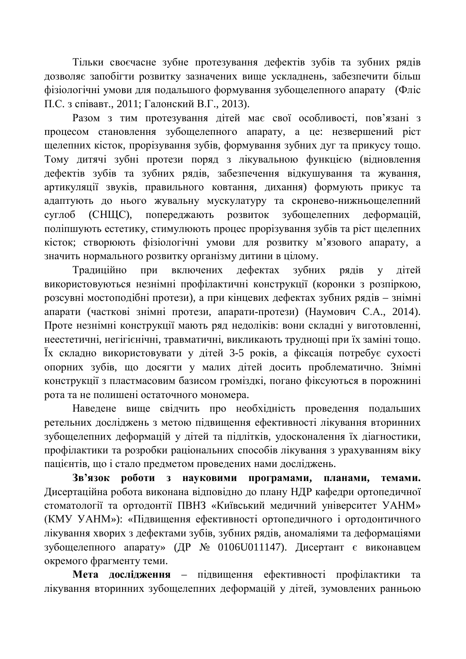Тільки своєчасне зубне протезування дефектів зубів та зубних рядів дозволяє запобігти розвитку зазначених вище ускладнень, забезпечити більш фізіологічні умови для подальшого формування зубощелепного апарату (Фліс П.С. з співавт., 2011; Галонский В.Г., 2013).

Разом з тим протезування дітей має свої особливості, пов'язані з процесом становлення зубощелепного апарату, а це: незвершений ріст щелепних кісток, прорізування зубів, формування зубних дуг та прикусу тощо. Тому дитячі зубні протези поряд з лікувальною функцією (відновлення дефектів зубів та зубних рядів, забезпечення відкушування та жування, артикуляції звуків, правильного ковтання, дихання) формують прикус та адаптують до нього жувальну мускулатуру та скронево-нижньощелепний суглоб (СНЩС), попереджають розвиток зубощеленних деформацій, поліпшують естетику, стимулюють процес прорізування зубів та ріст шелепних кісток; створюють фізіологічні умови для розвитку м'язового апарату, а значить нормального розвитку організму дитини в цілому.

Традиційно при включених дефектах зубних рядів у дітей використовуються незнімні профілактичні конструкції (коронки з розпіркою, розсувні мостоподібні протези), а при кінцевих дефектах зубних рядів – знімні апарати (часткові знімні протези, апарати-протези) (Наумович С.А., 2014). Проте незнімні конструкції мають ряд недоліків: вони складні у виготовленні, неестетичні, негігієнічні, травматичні, викликають труднощі при їх заміні тощо. Їх складно використовувати у дітей 3-5 років, а фіксація потребує сухості опорних зубів, що досягти у малих дітей досить проблематично. Знімні конструкції з пластмасовим базисом громіздкі, погано фіксуються в порожнині рота та не полишені остаточного мономера.

Наведене вище свідчить про необхідність проведення подальших ретельних досліджень з метою підвищення ефективності лікування вторинних зубощелепних деформацій у дітей та підлітків, удосконалення їх діагностики, профілактики та розробки раціональних способів лікування з урахуванням віку пацієнтів, що і стало предметом проведених нами досліджень.

Зв'язок роботи з науковими програмами, планами, темами. Дисертаційна робота виконана відповідно до плану НДР кафедри ортопедичної стоматології та ортодонтії ПВНЗ «Київський медичний університет УАНМ» (КМУ УАНМ»): «Підвищення ефективності ортопедичного і ортодонтичного лікування хворих з дефектами зубів, зубних рядів, аномаліями та деформаціями зубощелепного апарату» (ДР № 0106U011147). Дисертант є виконавцем окремого фрагменту теми.

Мета дослідження – підвищення ефективності профілактики та лікування вторинних зубощелепних деформацій у дітей, зумовлених ранньою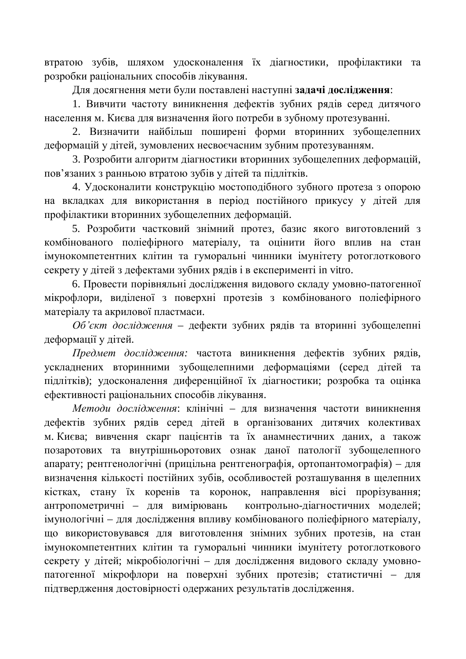втратою зубів, шляхом удосконалення їх діагностики, профілактики та розробки раціональних способів лікування.

Ⱦɥɹɞɨɫɹɝɧɟɧɧɹɦɟɬɢɛɭɥɢɩɨɫɬɚɜɥɟɧɿɧɚɫɬɭɩɧɿ**ɡɚɞɚɱɿɞɨɫɥɿɞɠɟɧɧɹ**:

1. Вивчити частоту виникнення дефектів зубних рядів серед дитячого населення м. Києва для визначення його потреби в зубному протезуванні.

2. Визначити найбільш поширені форми вторинних зубощелепних деформацій у дітей, зумовлених несвоєчасним зубним протезуванням.

3. Розробити алгоритм діагностики вторинних зубошелепних деформацій. пов'язаних з ранньою втратою зубів у дітей та підлітків.

4. Удосконалити конструкцію мостоподібного зубного протеза з опорою на вкладках для використання в період постійного прикусу у дітей для профілактики вторинних зубощелепних деформацій.

5. Розробити частковий знімний протез, базис якого виготовлений з комбінованого поліефірного матеріалу, та оцінити його вплив на стан імунокомпетентних клітин та гуморальні чинники імунітету ротоглоткового секрету у дітей з дефектами зубних рядів і в експерименті in vitro.

6. Провести порівняльні дослідження видового складу умовно-патогенної мікрофлори, виділеної з поверхні протезів з комбінованого поліефірного матеріалу та акрилової пластмаси.

Об'єкт дослідження – дефекти зубних рядів та вторинні зубощелепні деформації у дітей.

*Предмет дослідження:* частота виникнення дефектів зубних рядів, үскладнених вторинними зубощелепними деформаціями (серед дітей та підлітків); удосконалення диференційної їх діагностики; розробка та оцінка ефективності раціональних способів лікування.

Методи дослідження: клінічні – для визначення частоти виникнення дефектів зубних рядів серед дітей в організованих дитячих колективах м. Києва; вивчення скарг пацієнтів та їх анамнестичних даних, а також позаротових та внутрішньоротових ознак даної патології зубощелепного апарату; рентгенологічні (прицільна рентгенографія, ортопантомографія) – для визначення кількості постійних зубів, особливостей розташування в щелепних кістках, стану їх коренів та коронок, направлення вісі прорізування; антропометричні – для вимірювань контрольно-діагностичних моделей; імунологічні – для дослідження впливу комбінованого поліефірного матеріалу, що використовувався для виготовлення знімних зубних протезів, на стан імунокомпетентних клітин та гуморальні чинники імунітету ротоглоткового секрету у дітей; мікробіологічні – для дослідження видового складу умовнопатогенної мікрофлори на поверхні зубних протезів; статистичні – для підтвердження достовірності одержаних результатів дослідження.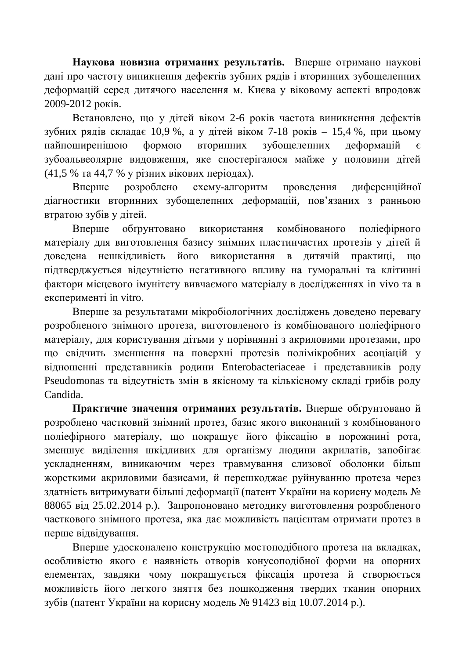Наукова новизна отриманих результатів. Вперше отримано наукові дані про частоту виникнення дефектів зубних рядів і вторинних зубощелепних деформацій серед дитячого населення м. Києва у віковому аспекті впродовж 2009-2012 років.

Встановлено, що у дітей віком 2-6 років частота виникнення дефектів зубних рядів складає 10,9 %, а у дітей віком 7-18 років - 15,4 %, при цьому найпоширенішою формою вторинних зубощелепних деформацій є зубоальвеолярне видовження, яке спостерігалося майже у половини дітей (41,5 % та 44,7 % у різних вікових періодах).

Вперше розроблено схему-алгоритм проведення диференційної діагностики вторинних зубощелепних деформацій, пов'язаних з ранньою втратою зубів у дітей.

Вперше обгрунтовано використання комбінованого поліефірного матеріалу для виготовлення базису знімних пластинчастих протезів у дітей й довелена нешкілливість його використання в литячій практиці, що підтверджується відсутністю негативного впливу на гуморальні та клітинні фактори місцевого імунітету вивчаємого матеріалу в дослідженнях іп vivo та в ekcnepumenti in vitro.

Вперше за результатами мікробіологічних досліджень доведено перевагу розробленого знімного протеза, виготовленого із комбінованого поліефірного матеріалу, для користування дітьми у порівнянні з акриловими протезами, про що свідчить зменшення на поверхні протезів полімікробних асоціацій у відношенні представників родини Enterobacteriaceae і представників роду Pseudomonas та відсутність змін в якісному та кількісному складі грибів роду Candida.

Практичне значення отриманих результатів. Вперше обтрунтовано й розроблено частковий знімний протез, базис якого виконаний з комбінованого поліефірного матеріалу, що покращує його фіксацію в порожнині рота, зменшує виділення шкідливих для організму людини акрилатів, запобігає ускладненням, виникаючим через травмування слизової оболонки більш жорсткими акриловими базисами, й перешкоджає руйнуванню протеза через здатність витримувати більші деформації (патент України на корисну модель № 88065 від 25.02.2014 р.). Запропоновано методику виготовлення розробленого часткового знімного протеза, яка дає можливість пацієнтам отримати протез в перше відвідування.

Вперше удосконалено конструкцію мостоподібного протеза на вкладках,  $\alpha$ еобливістю якого є наявність отворів конусоподібної форми на опорних елементах, завдяки чому покращується фіксація протеза й створюється можливість його легкого зняття без пошкодження твердих тканин опорних зубів (патент України на корисну модель № 91423 від 10.07.2014 р.).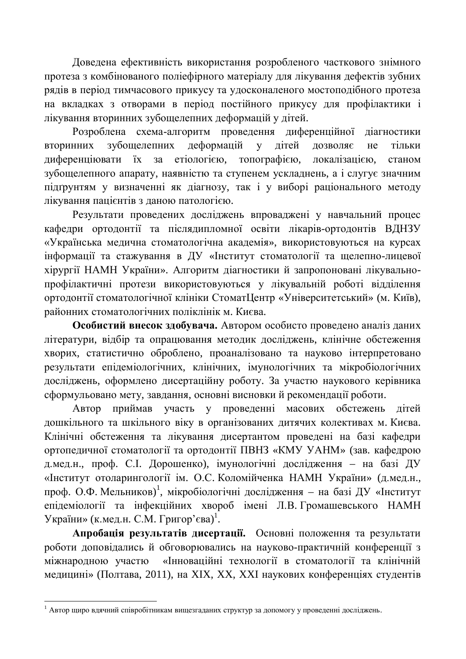Доведена ефективність використання розробленого часткового знімного протеза з комбінованого поліефірного матеріалу для лікування дефектів зубних рядів в період тимчасового прикусу та удосконаленого мостоподібного протеза на вкладках з отворами в період постійного прикусу для профілактики і лікування вторинних зубощелепних деформацій у дітей.

Розроблена схема-алгоритм проведення диференційної діагностики вторинних зубощелепних деформацій у дітей дозволяє не тільки диференціювати їх за етіологією, топографією, локалізацією, станом зубощелепного апарату, наявністю та ступенем ускладнень, а і слугує значним підґрунтям у визначенні як діагнозу, так і у виборі раціонального методу лікування пацієнтів з даною патологією.

Результати проведених досліджень впроваджені у навчальний процес кафедри ортодонтії та післядипломної освіти лікарів-ортодонтів ВДНЗУ «Українська медична стоматологічна академія», використовуються на курсах інформації та стажування в ДУ «Інститут стоматології та щелепно-лицевої хірургії НАМН України». Алгоритм діагностики й запропоновані лікувальнопрофілактичні протези використовуються у лікувальній роботі відділення ортодонтії стоматологічної клініки СтоматЦентр «Університетський» (м. Київ), районних стоматологічних поліклінік м. Києва.

Особистий внесок здобувача. Автором особисто проведено аналіз даних літератури, відбір та опрацювання методик досліджень, клінічне обстеження хворих, статистично оброблено, проаналізовано та науково інтерпретовано результати епідеміологічних, клінічних, імунологічних та мікробіологічних досліджень, оформлено дисертаційну роботу. За участю наукового керівника сформульовано мету, завдання, основні висновки й рекомендації роботи.

Автор приймав участь у проведенні масових обстежень дітей дошкільного та шкільного віку в організованих дитячих колективах м. Києва. Клінічні обстеження та лікування дисертантом проведені на базі кафедри ортопедичної стоматології та ортодонтії ПВНЗ «КМУ УАНМ» (зав. кафедрою дмед.н., проф. С.І. Дорошенко), імунологічні дослідження – на базі ДУ «Інститут отоларингології ім. О.С. Коломійченка НАМН України» (д.мед.н., проф. О.Ф. Мельников)<sup>1</sup>, мікробіологічні дослідження – на базі ДУ «Інститут епідеміології та інфекційних хвороб імені Л.В. Громашевського НАМН України» (к.мед.н. С.М. Григор'єва)<sup>1</sup>.

Апробація результатів дисертації. Основні положення та результати роботи доповідались й обговорювались на науково-практичній конференції з міжнародною участю «Інноваційні технології в стоматології та клінічній медицині» (Полтава, 2011), на XIX, XX, XXI наукових конференціях студентів

 $^1$  Автор щиро вдячний співробітникам вищезгаданих структур за допомогу у проведенні досліджень.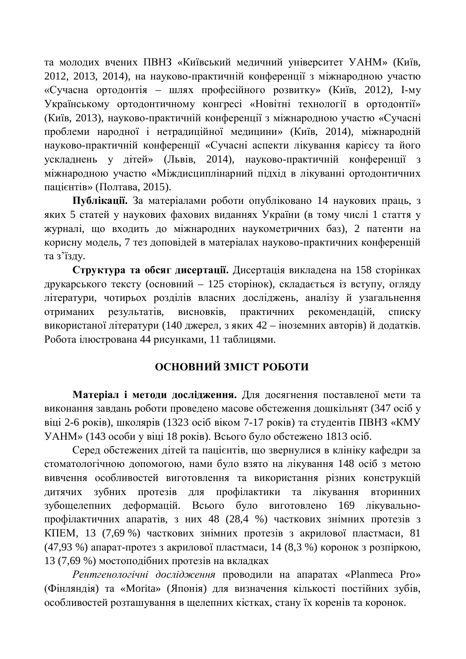та молодих вчених ПВНЗ «Київський медичний університет УАНМ» (Київ, 2012, 2013, 2014), на науково-практичній конференції з міжнародною участю «Сучасна ортодонтія – шлях професійного розвитку» (Київ, 2012), I-му Українському ортодонтичному конгресі «Новітні технології в ортодонтії» (Київ, 2013), науково-практичній конференції з міжнародною участю «Сучасні проблеми народної і нетрадиційної медицини» (Київ, 2014), міжнародній науково-практичній конференції «Сучасні аспекти лікування карієсу та його vсклалнень v літей» (Львів. 2014), науково-практичній конференції з міжнародною участю «Міждисциплінарний підхід в лікуванні ортодонтичних пацієнтів» (Полтава, 2015).

**Публікації.** За матеріалами роботи опубліковано 14 наукових праць, з яких 5 статей у наукових фахових виданнях України (в тому числі 1 стаття у журналі, що входить до міжнародних наукометричних баз), 2 патенти на корисну модель, 7 тез доповідей в матеріалах науково-практичних конференцій та з'їзлу.

Структура та обсяг дисертації. Дисертація викладена на 158 сторінках друкарського тексту (основний – 125 сторінок), складається із вступу, огляду літератури, чотирьох розділів власних досліджень, аналізу й узагальнення отриманих результатів, висновків, практичних рекомендацій, списку використаної літератури (140 джерел, з яких 42 – іноземних авторів) й додатків. Робота ілюстрована 44 рисунками, 11 таблицями.

### **ОСНОВНИЙ ЗМІСТ РОБОТИ**

Матеріал і методи дослідження. Для досягнення поставленої мети та виконання завдань роботи проведено масове обстеження дошкільнят (347 осіб у віці 2-6 років), школярів (1323 осіб віком 7-17 років) та студентів ПВНЗ «КМУ УАНМ» (143 особи у віці 18 років). Всього було обстежено 1813 осіб.

Серед обстежених дітей та пацієнтів, що звернулися в клініку кафедри за стоматологічною допомогою, нами було взято на лікування 148 осіб з метою вивчення особливостей виготовлення та використання різних конструкцій дитячих зубних протезів для профілактики та лікування вторинних зубощелепних деформацій. Всього було виготовлено 169 лікувальнопрофілактичних апаратів, з них 48 (28,4 %) часткових знімних протезів з КПЕМ, 13 (7,69 %) часткових знімних протезів з акрилової пластмаси, 81 (47,93 %) апарат-протез з акрилової пластмаси, 14 (8,3 %) коронок з розпіркою, 13 (7,69 %) мостоподібних протезів на вкладках

Рентгенологічні дослідження проводили на апаратах «Planmeca Pro» (Фінляндія) та «Morita» (Японія) для визначення кількості постійних зубів, особливостей розташування в щелепних кістках, стану їх коренів та коронок.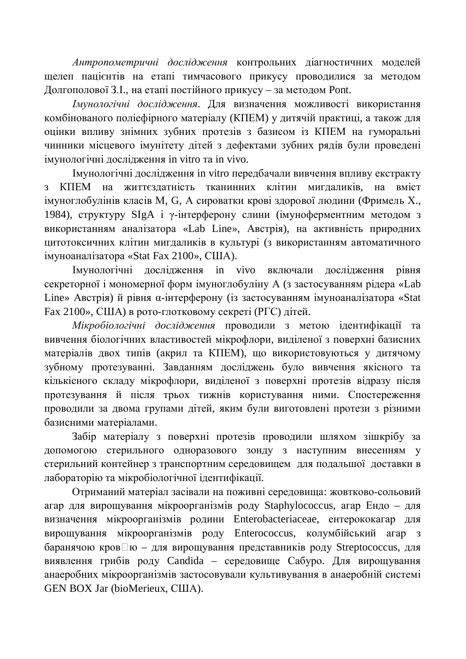Антропометричні дослідження контрольних діагностичних моделей щелеп пацієнтів на етапі тимчасового прикусу проводилися за методом Долгополової З. І., на етапі постійного прикусу – за метолом Pont.

*Имунологічні дослідження. Для визначення можливості використання* комбінованого поліефірного матеріалу (КПЕМ) у дитячій практиці, а також для оцінки впливу знімних зубних протезів з базисом із КПЕМ на гуморальні чинники місцевого імунітету дітей з дефектами зубних рядів були проведені iмунологічні лослілження in vitro та in vivo.

Iмунологічні дослідження in vitro передбачали вивчення впливу екстракту з КПЕМ на життєздатність тканинних клітин миглаликів, на вміст імуноглобулінів класів М, G, А сироватки крові здорової людини (Фримель Х., 1984), структуру SIgA і у-інтерферону слини (імуноферментним методом з використанням аналізатора «Lab Line», Австрія), на активність природних цитотоксичних клітин мигдаликів в культурі (з використанням автоматичного iмуноаналiзатора «Stat Fax 2100», США).

Iмунологічні дослідження in vivo включали дослідження рівня секреторної і мономерної форм імуноглобуліну А (з застосуванням рідера «Lab Line» Австрія) й рівня α-інтерферону (із застосуванням імуноаналізатора «Stat Fax 2100», США) в рото-глотковому секреті (РГС) дітей.

Мікробіологічні дослідження проводили з метою ідентифікації та вивчення біологічних властивостей мікрофлори, виділеної з поверхні базисних матеріалів двох типів (акрил та КПЕМ), що використовуються у дитячому зубному протезуванні. Завданням досліджень було вивчення якісного та кількісного складу мікрофлори, виділеної з поверхні протезів відразу після протезування й після трьох тижнів користування ними. Спостереження проводили за двома групами дітей, яким були виготовлені протези з різними базисними матеріалами.

Забір матеріалу з поверхні протезів проводили шляхом зішкрібу за допомогою стерильного одноразового зонду з наступним внесенням у стерильний контейнер з транспортним середовищем для подальшої доставки в лабораторію та мікробіологічної ідентифікації.

Отриманий матеріал засівали на поживні середовища: жовтково-сольовий агар для вирощування мікроорганізмів роду Staphylococcus, агар Ендо – для визначення мікроорганізмів родини Enterobacteriaceae, ентерококагар для вирощування мікроорганізмів роду Enterococcus, колумбійський агар з баранячою кров $\square$ ю – для вирощування представників роду Streptococcus, для виявлення грибів роду Candida – середовище Сабуро. Для вирощування анаеробних мікроорганізмів застосовували культивування в анаеробній системі GEN BOX Jar (bioMerieux, CIIIA).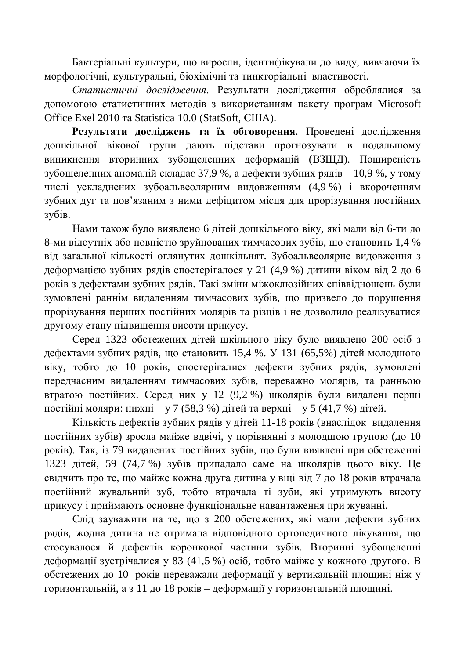Бактеріальні культури, що виросли, ідентифікували до виду, вивчаючи їх морфологічні, культуральні, біохімічні та тинкторіальні властивості.

Статистичні дослідження. Результати дослідження оброблялися за допомогою статистичних методів з використанням пакету програм Microsoft Office Exel 2010 Ta Statistica 10.0 (StatSoft, CIIIA).

Результати досліджень та їх обговорення. Проведені дослідження дошкільної вікової групи дають підстави прогнозувати в подальшому виникнення вторинних зубошелепних деформацій (ВЗШД). Поширеність зубощелепних аномалій складає 37,9 %, а дефекти зубних рядів – 10,9 %, у тому числі ускладнених зубоальвеолярним видовженням (4,9 %) і вкороченням зубних дуг та пов'язаним з ними дефіцитом місця для прорізування постійних зубів.

Нами також було виявлено 6 дітей дошкільного віку, які мали від 6-ти до 8-ми відсутніх або повністю зруйнованих тимчасових зубів, що становить 1,4 % від загальної кількості оглянутих дошкільнят. Зубоальвеолярне видовження з деформацією зубних рядів спостерігалося у 21 (4,9 %) дитини віком від 2 до 6 років з дефектами зубних рядів. Такі зміни міжоклюзійних співвідношень були зумовлені раннім видаленням тимчасових зубів, що призвело до порушення прорізування перших постійних молярів та різців і не дозволило реалізуватися другому етапу підвищення висоти прикусу.

Серед 1323 обстежених дітей шкільного віку було виявлено 200 осіб з дефектами зубних рядів, що становить 15,4 %. У 131 (65,5%) дітей молодшого віку, тобто до 10 років, спостерігалися дефекти зубних рядів, зумовлені передчасним видаленням тимчасових зубів, переважно молярів, та ранньою втратою постійних. Серед них у 12 (9,2 %) школярів були видалені перші постійні моляри: нижні – у 7 (58,3 %) дітей та верхні – у 5 (41,7 %) дітей.

Кількість дефектів зубних рядів у дітей 11-18 років (внаслідок видалення постійних зубів) зросла майже вдвічі, у порівнянні з молодшою групою (до 10 років). Так, із 79 видалених постійних зубів, що були виявлені при обстеженні 1323 дітей, 59 (74,7 %) зубів припадало саме на школярів цього віку. Це свідчить про те, що майже кожна друга дитина у віці від 7 до 18 років втрачала постійний жувальний зуб, тобто втрачала ті зуби, які утримують висоту прикусу і приймають основне функціональне навантаження при жуванні.

Слід зауважити на те, що з 200 обстежених, які мали дефекти зубних рядів, жодна дитина не отримала відповідного ортопедичного лікування, що стосувалося й дефектів коронкової частини зубів. Вторинні зубощелепні деформації зустрічалися у 83 (41,5 %) осіб, тобто майже у кожного другого. В обстежених до 10 років переважали деформації у вертикальній площині ніж у горизонтальній, а з 11 до 18 років – деформації у горизонтальній площині.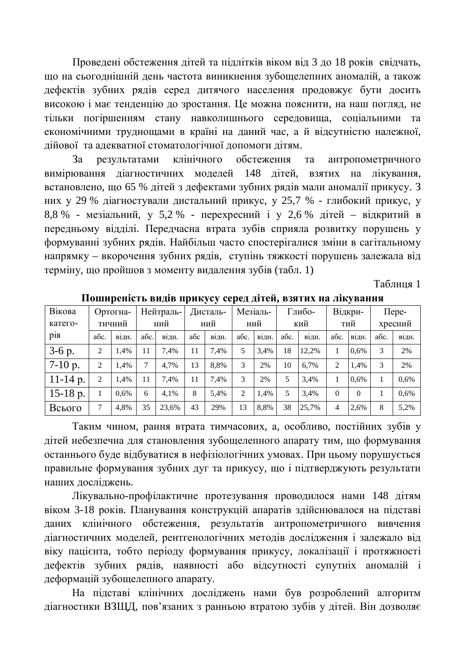Проведені обстеження дітей та підлітків віком від 3 до 18 років свідчать, що на сьогоднішній день частота виникнення зубощелепних аномалій, а також дефектів зубних рядів серед дитячого населення продовжує бути досить високою і має тенденцію до зростання. Це можна пояснити, на наш погляд, не тільки погіршенням стану навколишнього середовища, соціальними та економічними труднощами в країні на даний час, а й відсутністю належної, дійової та адекватної стоматологічної допомоги дітям.

За результатами клінічного обстеження та антропометричного вимірювання діагностичних моделей 148 дітей, взятих на лікування, встановлено, що 65 % дітей з дефектами зубних рядів мали аномалії прикусу. З них у 29 % діагностували дистальний прикус, у 25,7 % - глибокий прикус, у 8,8 % - мезіальний, у 5,2 % - перехресний і у 2,6 % дітей – відкритий в передньому відділі. Передчасна втрата зубів сприяла розвитку порушень у формуванні зубних рядів. Найбільш часто спостерігалися зміни в сагітальному напрямку – вкорочення зубних рядів, ступінь тяжкості порушень залежала від терміну, що пройшов з моменту видалення зубів (табл. 1)

Таблиня 1

| Вікова          | Ортогна- |         | Нейтраль- |       | Дисталь- |       | Мезіаль-       |       | Глибо- |       | Відкри-  |          | $\Box$ epe- |       |
|-----------------|----------|---------|-----------|-------|----------|-------|----------------|-------|--------|-------|----------|----------|-------------|-------|
| катего-         | тичний   |         | ний       |       | ний      |       | ний            |       | кий    |       | тий      |          | хресний     |       |
| D1 <sub>H</sub> | абс.     | В1ДН.   | абс.      | відн. | абс      | В1ДН. | абс.           | В1ДН. | абс.   | В1ДН. | абс.     | відн.    | абс.        | відн. |
| $3-6$ p.        | 2        | 1.4%    | 11        | 7.4%  | 11       | 7.4%  | 5              | 3.4%  | 18     | 12.2% |          | 0,6%     | 3           | 2%    |
| $7-10$ p.       | 2        | 1,4%    | 7         | 4.7%  | 13       | 8.8%  | 3              | 2%    | 10     | 6.7%  | 2        | 1,4%     | 3           | 2%    |
| $11-14$ p.      | 2        | 1,4%    | 11        | 7.4%  | 11       | 7.4%  | 3              | 2%    | 5      | 3,4%  |          | 0,6%     |             | 0,6%  |
| $15-18$ p.      |          | $0.6\%$ | 6         | 4.1%  | 8        | 5,4%  | $\overline{c}$ | 1.4%  | 5      | 3,4%  | $\Omega$ | $\Omega$ |             | 0.6%  |
| Всього          |          | 4,8%    | 35        | 23,6% | 43       | 29%   | 13             | 8,8%  | 38     | 25,7% | 4        | 2,6%     | 8           | 5,2%  |

Поширеність видів прикусу серед дітей, взятих на лікування

Таким чином, рання втрата тимчасових, а, особливо, постійних зубів у дітей небезпечна для становлення зубощелепного апарату тим, що формування останнього буде відбуватися в нефізіологічних умовах. При цьому порушується правильне формування зубних дуг та прикусу, що і підтверджують результати наших досліджень.

Лікувально-профілактичне протезування проводилося нами 148 дітям віком 3-18 років. Планування конструкцій апаратів здійснювалося на підставі даних клінічного обстеження, результатів антропометричного вивчення діагностичних моделей, рентгенологічних методів дослідження і залежало від віку пацієнта, тобто періоду формування прикусу, локалізації і протяжності дефектів зубних рядів, наявності або відсутності супутніх аномалій і деформацій зубощелепного апарату.

На підставі клінічних досліджень нами був розроблений алгоритм діагностики ВЗЩД, пов'язаних з ранньою втратою зубів у дітей. Він дозволяє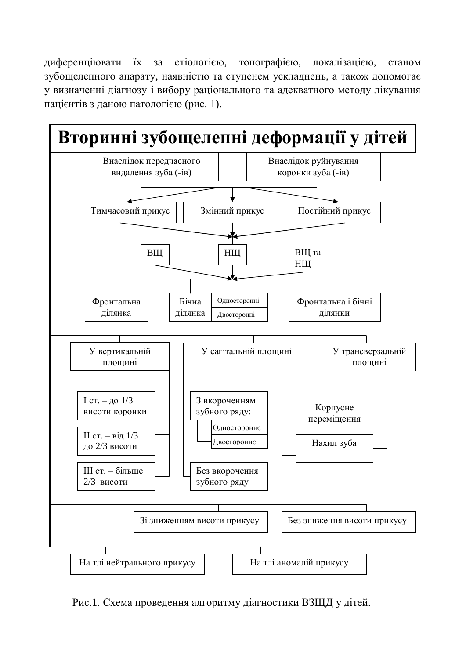диференціювати їх за етіологією, топографією, локалізацією, станом зубощелепного апарату, наявністю та ступенем ускладнень, а також допомогає у визначенні діагнозу і вибору раціонального та адекватного методу лікування пацієнтів з даною патологією (рис. 1).



Рис.1. Схема проведення алгоритму діагностики ВЗЩД у дітей.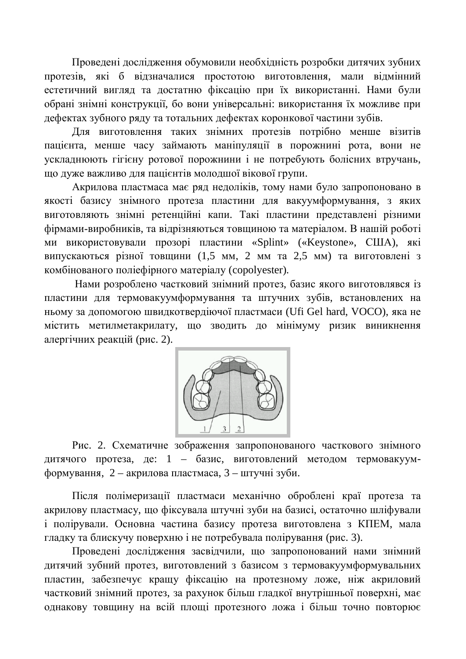Проведені дослідження обумовили необхідність розробки дитячих зубних протезів, які б відзначалися простотою виготовлення, мали відмінний естетичний вигляд та достатню фіксацію при їх використанні. Нами були обрані знімні конструкції, бо вони універсальні: використання їх можливе при дефектах зубного ряду та тотальних дефектах коронкової частини зубів.

Для виготовлення таких знімних протезів потрібно менше візитів пацієнта, менше часу займають маніпуляції в порожнині рота, вони не усклалнюють гігієну ротової порожнини і не потребують болісних втручань. що дуже важливо для пацієнтів молодшої вікової групи.

Акрилова пластмаса має ряд недоліків, тому нами було запропоновано в якості базису знімного протеза пластини для вакуумформування, з яких виготовляють знімні ретенційні капи. Такі пластини представлені різними фірмами-виробників, та відрізняються товщиною та матеріалом. В нашій роботі ми використовували прозорі пластини «Splint» («Keystone», США), які випускаються різної товщини (1,5 мм, 2 мм та 2,5 мм) та виготовлені з комбінованого поліефірного матеріалу (copolyester).

Нами розроблено частковий знімний протез, базис якого виготовлявся із пластини для термовакуумформування та штучних зубів, встановлених на ньому за допомогою швидкотвердіючої пластмаси (Ufi Gel hard, VOCO), яка не містить метилметакрилату, що зводить до мінімуму ризик виникнення алергічних реакцій (рис. 2).



Рис. 2. Схематичне зображення запропонованого часткового знімного дитячого протеза, де: 1 – базис, виготовлений методом термовакуумформування, 2 – акрилова пластмаса, 3 – штучні зуби.

Після полімеризації пластмаси механічно оброблені краї протеза та акрилову пластмасу, що фіксувала штучні зуби на базисі, остаточно шліфували і полірували. Основна частина базису протеза виготовлена з КПЕМ, мала гладку та блискучу поверхню *і* не потребувала полірування (рис. 3).

Проведені дослідження засвідчили, що запропонований нами знімний дитячий зубний протез, виготовлений з базисом з термовакуумформувальних пластин, забезпечує кращу фіксацію на протезному ложе, ніж акриловий частковий знімний протез, за рахунок більш гладкої внутрішньої поверхні, має однакову товщину на всій площі протезного ложа і більш точно повторює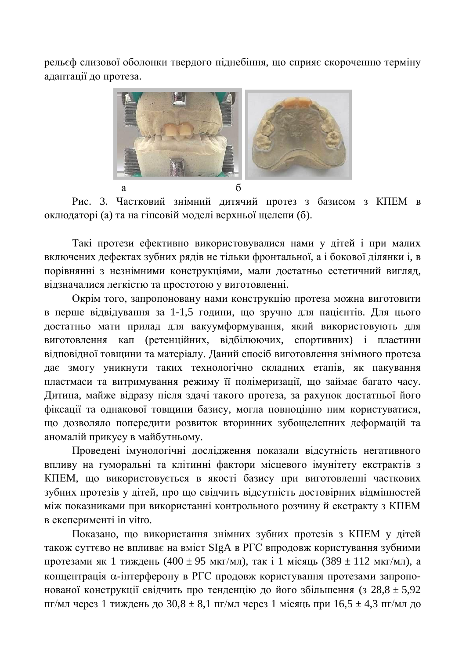рельєф слизової оболонки твердого піднебіння, що сприяє скороченню терміну адаптації до протеза.



Рис. 3. Частковий знімний дитячий протез з базисом з КПЕМ в оклюдаторі (а) та на гіпсовій моделі верхньої щелепи (б).

Такі протези ефективно використовувалися нами у дітей і при малих включених дефектах зубних рядів не тільки фронтальної, а і бокової ділянки і, в порівнянні з незнімними конструкціями, мали достатньо естетичний вигляд, відзначалися легкістю та простотою у виготовленні.

Окрім того, запропоновану нами конструкцію протеза можна виготовити в перше відвідування за 1-1,5 години, що зручно для пацієнтів. Для цього достатньо мати прилад для вакуумформування, який використовують для виготовлення кап (ретенційних, відбілюючих, спортивних) і пластини відповідної товщини та матеріалу. Даний спосіб виготовлення знімного протеза дає змогу уникнути таких технологічно складних етапів, як пакування пластмаси та витримування режиму її полімеризації, що займає багато часу. Дитина, майже відразу після здачі такого протеза, за рахунок достатньої його фіксації та однакової товщини базису, могла повноцінно ним користуватися, що дозволяло попередити розвиток вторинних зубощелепних деформацій та аномалій прикусу в майбутньому.

Проведені імунологічні дослідження показали відсутність негативного впливу на гуморальні та клітинні фактори місцевого імунітету екстрактів з КПЕМ, що використовується в якості базису при виготовленні часткових зубних протезів у дітей, про що свідчить відсутність достовірних відмінностей між показниками при використанні контрольного розчину й екстракту з КПЕМ в експерименті in vitro.

Показано, що використання знімних зубних протезів з КПЕМ у дітей також суттєво не впливає на вміст SIgA в РГС впродовж користування зубними протезами як 1 тиждень (400 ± 95 мкг/мл), так і 1 місяць (389 ± 112 мкг/мл), а концентрація α-інтерферону в РГС продовж користування протезами запропонованої конструкції свідчить про тенденцію до його збільшення (з 28,8  $\pm$  5,92 пг/мл через 1 тиждень до  $30.8 \pm 8.1$  пг/мл через 1 місяць при  $16.5 \pm 4.3$  пг/мл до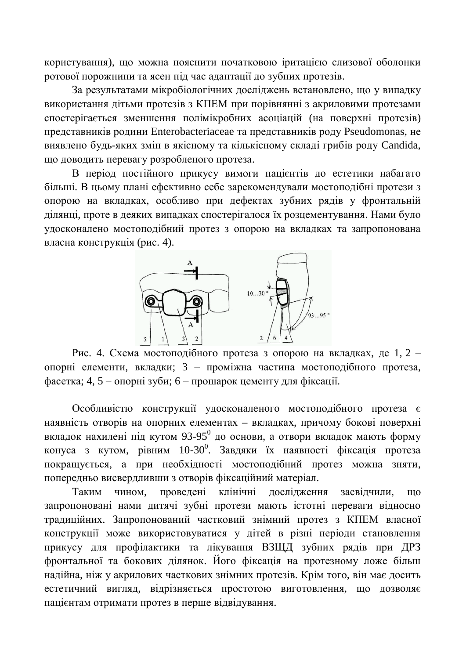користування), що можна пояснити початковою іритацією слизової оболонки ротової порожнини та ясен під час адаптації до зубних протезів.

За результатами мікробіологічних досліджень встановлено, що у випадку використання дітьми протезів з КПЕМ при порівнянні з акриловими протезами спостерігається зменшення полімікробних асоціацій (на поверхні протезів) представників родини Enterobacteriaceae та представників роду Pseudomonas, не виявлено будь-яких змін в якісному та кількісному складі грибів роду Candida, що доводить перевагу розробленого протеза.

В період постійного прикусу вимоги пацієнтів до естетики набагато більші. В цьому плані ефективно себе зарекомендували мостоподібні протези з опорою на вкладках, особливо при дефектах зубних рядів у фронтальній ділянці, проте в деяких випадках спостерігалося їх розцементування. Нами було удосконалено мостоподібний протез з опорою на вкладках та запропонована власна конструкція (рис. 4).



Рис. 4. Схема мостоподібного протеза з опорою на вкладках, де 1, 2 – опорні елементи, вкладки; 3 – проміжна частина мостоподібного протеза,  $\alpha$ асетка; 4, 5 – опорні зуби; 6 – прошарок цементу для фіксації.

Особливістю конструкції удосконаленого мостоподібного протеза є наявність отворів на опорних елементах – вкладках, причому бокові поверхні вкладок нахилені під кутом 93-95<sup>0</sup> до основи, а отвори вкладок мають форму конуса з кутом, рівним 10-30<sup>0</sup>. Завдяки їх наявності фіксація протеза покращується, а при необхідності мостоподібний протез можна зняти, попередньо висвердливши з отворів фіксаційний матеріал.

Таким чином, проведені клінічні дослідження засвідчили, що запропоновані нами дитячі зубні протези мають істотні переваги відносно традиційних. Запропонований частковий знімний протез з КПЕМ власної конструкції може використовуватися у дітей в різні періоди становлення прикусу для профілактики та лікування ВЗЩД зубних рядів при ДРЗ фронтальної та бокових ділянок. Його фіксація на протезному ложе більш надійна, ніж у акрилових часткових знімних протезів. Крім того, він має досить естетичний вигляд, відрізняється простотою виготовлення, що дозволяє пацієнтам отримати протез в перше відвідування.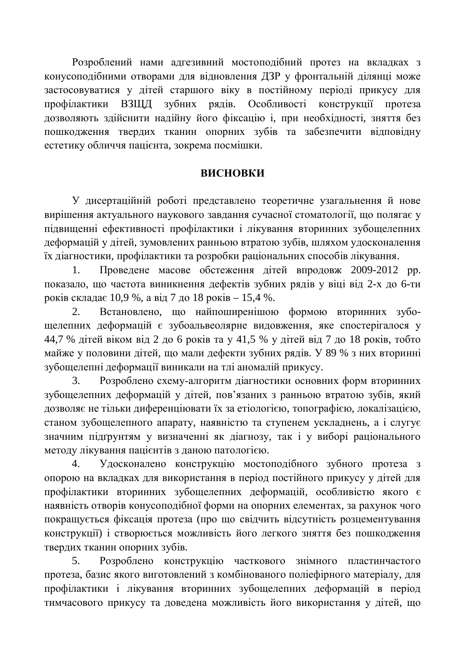Розроблений нами адгезивний мостоподібний протез на вкладках з конусоподібними отворами для відновлення ДЗР у фронтальній ділянці може застосовуватися у дітей старшого віку в постійному періоді прикусу для профілактики ВЗЩД зубних рядів. Особливості конструкції протеза дозволяють здійснити надійну його фіксацію і, при необхідності, зняття без пошкодження твердих тканин опорних зубів та забезпечити відповідну естетику обличчя пацієнта, зокрема посмішки.

#### **ВИСНОВКИ**

У дисертаційній роботі представлено теоретичне узагальнення й нове вирішення актуального наукового завдання сучасної стоматології, що полягає у підвищенні ефективності профілактики і лікування вторинних зубощелепних деформацій у дітей, зумовлених ранньою втратою зубів, шляхом удосконалення їх діагностики, профілактики та розробки раціональних способів лікування.

1. Проведене масове обстеження дітей впродовж 2009-2012 рр. показало, що частота виникнення дефектів зубних рядів у віці від 2-х до 6-ти років складає 10,9 %, а від 7 до 18 років – 15,4 %.

2. Встановлено, що найпоширенішою формою вторинних зубощелепних деформацій є зубоальвеолярне видовження, яке спостерігалося у 44,7 % дітей віком від 2 до 6 років та у 41,5 % у дітей від 7 до 18 років, тобто майже у половини дітей, що мали дефекти зубних рядів. У 89 % з них вторинні зубошелепні деформації виникали на тлі аномалій прикусу.

3. Розроблено схему-алгоритм діагностики основних форм вторинних зубощелепних деформацій у дітей, пов'язаних з ранньою втратою зубів, який дозволяє не тільки диференціювати їх за етіологією, топографією, локалізацією, станом зубощелепного апарату, наявністю та ступенем ускладнень, а і слугує значним підґрунтям у визначенні як діагнозу, так і у виборі раціонального методу лікування пацієнтів з даною патологією.

4. Удосконалено конструкцію мостоподібного зубного протеза з опорою на вкладках для використання в період постійного прикусу у дітей для профілактики вторинних зубощелепних деформацій, особливістю якого є наявність отворів конусоподібної форми на опорних елементах, за рахунок чого покращується фіксація протеза (про що свідчить відсутність розцементування конструкції) і створюється можливість його легкого зняття без пошкодження твердих тканин опорних зубів.

5. Розроблено конструкцію часткового знімного пластинчастого протеза, базис якого виготовлений з комбінованого поліефірного матеріалу, для профілактики і лікування вторинних зубощелепних деформацій в період тимчасового прикусу та доведена можливість його використання у дітей, що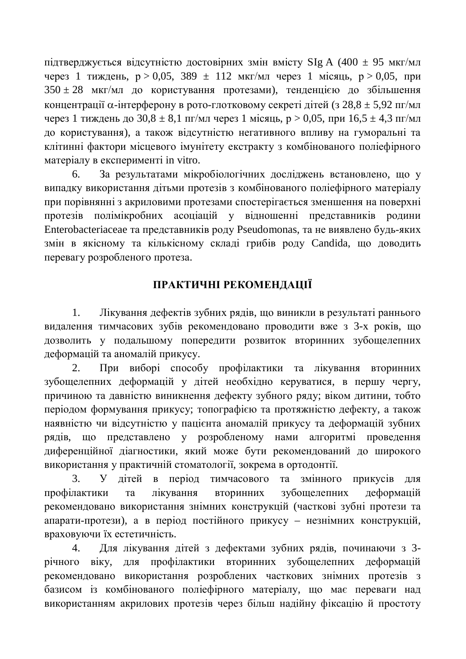підтверджується відсутністю достовірних змін вмісту SIg A (400 ± 95 мкг/мл через 1 тиждень,  $p > 0.05$ , 389  $\pm$  112 мкг/мл через 1 місяць,  $p > 0.05$ , при  $350 \pm 28$  мкг/мл до користування протезами), тенденцією до збільшення концентрації α-інтерферону в рото-глотковому секреті дітей (з 28,8 ± 5,92 пг/мл через 1 тиждень до  $30,8 \pm 8,1$  пг/мл через 1 місяць, р > 0,05, при  $16,5 \pm 4,3$  пг/мл до користування), а також відсутністю негативного впливу на гуморальні та клітинні фактори місцевого імунітету екстракту з комбінованого поліефірного матеріалу в експерименті in vitro.

6. За результатами мікробіологічних досліджень встановлено, що у випадку використання дітьми протезів з комбінованого поліефірного матеріалу при порівнянні з акриловими протезами спостерігається зменшення на поверхні протезів полімікробних асоціацій у відношенні представників родини Enterobacteriaceae та представників роду Pseudomonas, та не виявлено будь-яких змін в якісному та кількісному складі грибів роду Candida, що доводить перевагу розробленого протеза.

## ПРАКТИЧНІ РЕКОМЕНДАЦІЇ

1. Лікування дефектів зубних рядів, що виникли в результаті раннього видалення тимчасових зубів рекомендовано проводити вже з 3-х років, що дозволить у подальшому попередити розвиток вторинних зубощелепних деформацій та аномалій прикусу.

2. При виборі способу профілактики та лікування вторинних зубощелепних деформацій у дітей необхідно керуватися, в першу чергу, причиною та давністю виникнення дефекту зубного ряду; віком дитини, тобто періодом формування прикусу; топографією та протяжністю дефекту, а також наявністю чи відсутністю у пацієнта аномалій прикусу та деформацій зубних рядів, що представлено у розробленому нами алгоритмі проведення диференційної діагностики, який може бути рекомендований до широкого використання у практичній стоматології, зокрема в ортодонтії.

3. У дітей в період тимчасового та змінного прикусів для профілактики та лікування вторинних зубошелепних деформацій рекомендовано використання знімних конструкцій (часткові зубні протези та апарати-протези), а в період постійного прикусу – незнімних конструкцій, враховуючи їх естетичність.

4. Для лікування дітей з дефектами зубних рядів, починаючи з 3річного віку, для профілактики вторинних зубошелепних деформацій рекомендовано використання розроблених часткових знімних протезів з базисом із комбінованого поліефірного матеріалу, що має переваги над використанням акрилових протезів через більш надійну фіксацію й простоту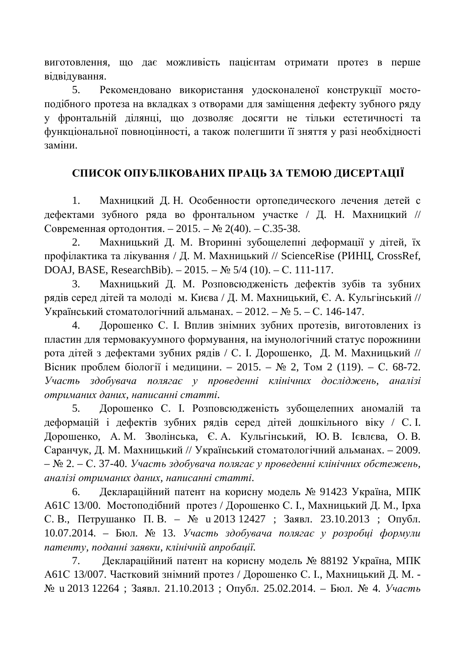виготовлення, що дає можливість пацієнтам отримати протез в перше відвідування.

5. Рекомендовано використання удосконаленої конструкції мостоподібного протеза на вкладках з отворами для заміщення дефекту зубного ряду у фронтальній ділянці, що дозволяє досягти не тільки естетичності та функціональної повноцінності, а також полегшити її зняття у разі необхідності заміни.

### СПИСОК ОПУБЛІКОВАНИХ ПРАЦЬ ЗА ТЕМОЮ ДИСЕРТАЦІЇ

1. Махницкий Д. Н. Особенности ортопедического лечения детей с дефектами зубного ряда во фронтальном участке / Д. Н. Махницкий // Современная ортодонтия. – 2015. – № 2(40). – С.35-38.

2. Махницький Д. М. Вторинні зубощелепні деформації у дітей, їх профілактика та лікування / Д. М. Махницький // ScienceRise (РИНЦ, CrossRef, DOAJ, BASE, ResearchBib). – 2015. –  $\mathbb{N}$  5/4 (10). – C. 111-117.

3. Махницький Д. М. Розповсюдженість дефектів зубів та зубних рядів серед дітей та молоді м. Києва / Д. М. Махницький, Є. А. Кульгінський // Український стоматологічний альманах. – 2012. – № 5. – С. 146-147.

4. Дорошенко С. І. Вплив знімних зубних протезів, виготовлених із пластин для термовакуумного формування, на імунологічний статус порожнини рота дітей з дефектами зубних рядів / С. І. Дорошенко, Д. М. Махницький // Вісник проблем біології і медицини. – 2015. – № 2, Том 2 (119). – С. 68-72. **Участь** здобувача полягає у проведенні клінічних досліджень, аналізі **у**  $\alpha$ триманих даних, написанні статті.

5. Дорошенко С. I. Розповсюдженість зубощелепних аномалій та деформацій і дефектів зубних рядів серед дітей дошкільного віку / С. І. Дорошенко, А. М. Зволінська, Є. А. Кульгінський, Ю. В. Ієвлєва, О. В. Саранчук, Д. М. Махницький // Український стоматологічний альманах. – 2009. – ʋ 2. – ɋ. 37-40. *ɍɱɚɫɬɶɡɞɨɛɭɜɚɱɚɩɨɥɹɝɚɽɭɩɪɨɜɟɞɟɧɧɿɤɥɿɧɿɱɧɢɯɨɛɫɬɟɠɟɧɶ, ɚɧɚɥɿɡɿɨɬɪɢɦɚɧɢɯɞɚɧɢɯ, ɧɚɩɢɫɚɧɧɿɫɬɚɬɬɿ.*

6. Деклараційний патент на корисну модель № 91423 Україна, МПК А61С 13/00. Мостоподібний протез / Дорошенко С. І., Махницький Д. М., Ірха С. В., Петрушанко П. В. − № и 2013 12427 ; Заявл. 23.10.2013 ; Опубл. 10.07.2014. – Бюл. № 13. Участь здобувача полягає у розробці формули патенту, поданні заявки, клінічній апробації.

7. Деклараційний патент на корисну модель № 88192 Україна, МПК А61С 13/007. Частковий знімний протез / Дорошенко С. І., Махницький Д. М. - $\mathcal{N}_2$  и 2013 12264 ; Заявл. 21.10.2013 ; Опубл. 25.02.2014. – Бюл.  $\mathcal{N}_2$  4. *Участь*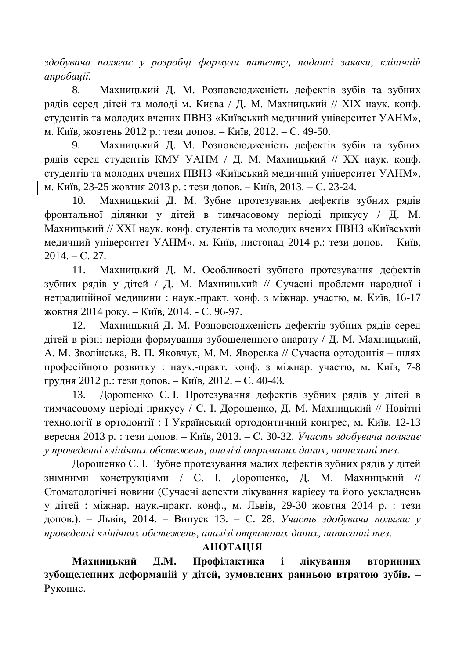здобувача полягає у розробці формули патенту, поданні заявки, клінічній  $anpo6auii$ .

8. Махницький Д. М. Розповсюдженість дефектів зубів та зубних рядів серед дітей та молоді м. Києва / Д. М. Махницький // XIX наук. конф. студентів та молодих вчених ПВНЗ «Київський медичний університет УАНМ», м. Київ, жовтень 2012 р.: тези допов. – Київ, 2012. – С. 49-50.

9. Махницький Д. М. Розповсюдженість дефектів зубів та зубних рядів серед студентів КМУ УАНМ / Д. М. Махницький // XX наук. конф. студентів та молодих вчених ПВНЗ «Київський медичний університет УАНМ», м. Київ, 23-25 жовтня 2013 р. : тези допов. – Київ, 2013. – С. 23-24.

10. Махницький Д. М. Зубне протезування дефектів зубних рядів фронтальної ділянки у дітей в тимчасовому періоді прикусу / Д. М. Махницький // XXI наук. конф. студентів та молодих вчених ПВНЗ «Київський медичний університет УАНМ». м. Київ, листопад 2014 р.: тези допов. – Київ,  $2014. - C. 27.$ 

11. Махницький Д. М. Особливості зубного протезування дефектів зубних рядів у дітей / Д. М. Махницький // Сучасні проблеми народної і нетрадиційної медицини: наук.-практ. конф. з міжнар. участю, м. Київ, 16-17 жовтня 2014 року. – Київ, 2014. - С. 96-97.

12. Махницький Д. М. Розповсюдженість дефектів зубних рядів серед дітей в різні періоди формування зубощелепного апарату / Д. М. Махницький, А. М. Зволінська, В. П. Яковчук, М. М. Яворська // Сучасна ортодонтія – шлях професійного розвитку : наук.-практ. конф. з міжнар. участю, м. Київ, 7-8 грудня 2012 р.: тези допов. – Київ, 2012. – С. 40-43.

13. Дорошенко С. І. Протезування дефектів зубних рядів у дітей в тимчасовому періоді прикусу / С. І. Дорошенко, Д. М. Махницький // Новітні технології в ортодонтії : І Український ортодонтичний конгрес, м. Київ, 12-13 вересня 2013 р. : тези допов. – Київ, 2013. – С. 30-32. *Участь здобувача полягає* у проведенні клінічних обстежень, аналізі отриманих даних, написанні тез.

Дорошенко С. І. Зубне протезування малих дефектів зубних рядів у дітей знімними конструкціями / С. І. Дорошенко, Д. М. Махницький // Стоматологічні новини (Сучасні аспекти лікування карієсу та його ускладнень у дітей: міжнар. наук.-практ. конф., м. Львів, 29-30 жовтня 2014 р.: тези допов.). – Львів, 2014. – Випуск 13. – С. 28. *Участь здобувача полягає у* проведенні клінічних обстежень, аналізі отриманих даних, написанні тез.

### *AHOTAIIIA*

Махницький Д.М. Профілактика і лікування вторинних зубощелепних деформацій у дітей, зумовлених ранньою втратою зубів. -Рукопис.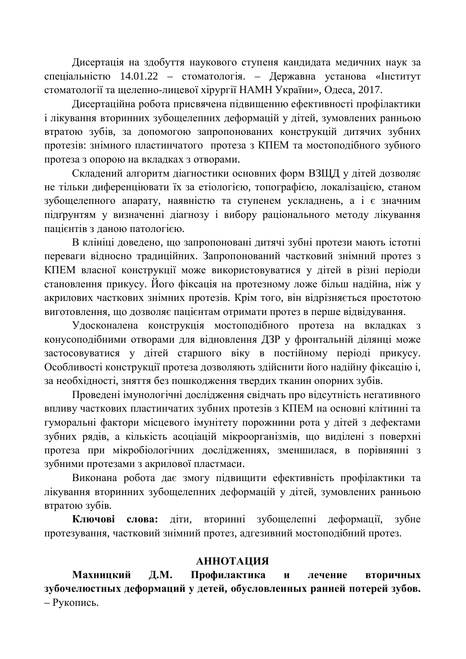Дисертація на здобуття наукового ступеня кандидата медичних наук за спеціальністю 14.01.22 – стоматологія. – Державна установа «Інститут стоматології та щелепно-лицевої хірургії НАМН України», Одеса, 2017.

Дисертаційна робота присвячена підвищенню ефективності профілактики і лікування вторинних зубощелепних деформацій у дітей, зумовлених ранньою втратою зубів, за допомогою запропонованих конструкцій дитячих зубних протезів: знімного пластинчатого протеза з КПЕМ та мостоподібного зубного протеза з опорою на вкладках з отворами.

Складений алгоритм діагностики основних форм ВЗЩД у дітей дозволяє не тільки диференціювати їх за етіологією, топографією, локалізацією, станом зубощелепного апарату, наявністю та ступенем ускладнень, а і є значним підгрунтям у визначенні діагнозу і вибору раціонального методу лікування панієнтів з ланою патологією.

В клініці доведено, що запропоновані дитячі зубні протези мають істотні переваги відносно традиційних. Запропонований частковий знімний протез з КПЕМ власної конструкції може використовуватися у дітей в різні періоди становлення прикусу. Його фіксація на протезному ложе більш надійна, ніж у акрилових часткових знімних протезів. Крім того, він відрізняється простотою виготовлення, що дозволяє пацієнтам отримати протез в перше відвідування.

Удосконалена конструкція мостоподібного протеза на вкладках з конусоподібними отворами для відновлення ДЗР у фронтальній ділянці може застосовуватися у дітей старшого віку в постійному періоді прикусу. Особливості конструкції протеза дозволяють здійснити його надійну фіксацію і, за необхідності, зняття без пошкодження твердих тканин опорних зубів.

Проведені імунологічні дослідження свідчать про відсутність негативного впливу часткових пластинчатих зубних протезів з КПЕМ на основні клітинні та гуморальні фактори місцевого імунітету порожнини рота у дітей з дефектами зубних рядів, а кількість асоціацій мікроорганізмів, що виділені з поверхні протеза при мікробіологічних дослідженнях, зменшилася, в порівнянні з зубними протезами з акрилової пластмаси.

Виконана робота дає змогу підвищити ефективність профілактики та лікування вторинних зубощелепних деформацій у дітей, зумовлених ранньою втратою зубів.

**Ключові слова:** діти, вторинні зубощелепні деформації, зубне протезування, частковий знімний протез, адгезивний мостоподібний протез.

### **МЛЛОННА**

Махницкий Д.М. Профилактика и лечение вторичных зубочелюстных деформаций у детей, обусловленных ранней потерей зубов. – Рукопись.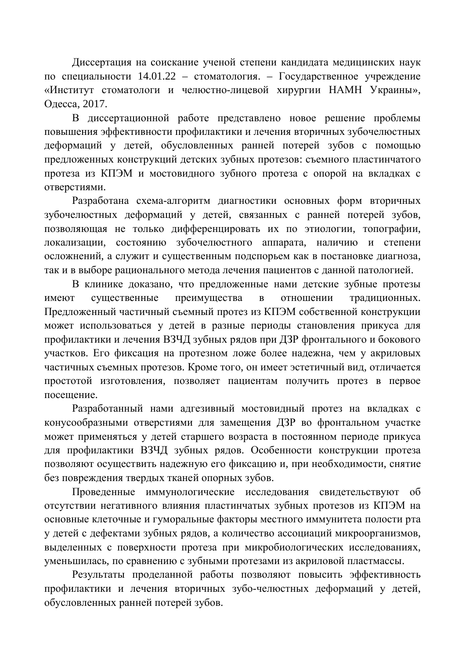Диссертация на соискание ученой степени кандидата медицинских наук по специальности  $14.01.22$  – стоматология. – Государственное учреждение «Институт стоматологи и челюстно-лицевой хирургии НАМН Украины», Одесса, 2017.

В диссертационной работе представлено новое решение проблемы повышения эффективности профилактики и лечения вторичных зубочелюстных деформаций у детей, обусловленных ранней потерей зубов с помощью предложенных конструкций детских зубных протезов: съемного пластинчатого протеза из КПЭМ и мостовидного зубного протеза с опорой на вкладках с отверстиями.

Разработана схема-алгоритм диагностики основных форм вторичных зубочелюстных деформаций у детей, связанных с ранней потерей зубов, позволяющая не только дифференцировать их по этиологии, топографии, локализации, состоянию зубочелюстного аппарата, наличию и степени осложнений, а служит и существенным подспорьем как в постановке диагноза, так и в выборе рационального метода лечения пациентов с данной патологией.

В клинике доказано, что предложенные нами детские зубные протезы имеют сушественные преимущества в отношении тралиционных. Предложенный частичный съемный протез из КПЭМ собственной конструкции может использоваться у детей в разные периоды становления прикуса для профилактики и лечения ВЗЧД зубных рядов при ДЗР фронтального и бокового участков. Его фиксация на протезном ложе более надежна, чем у акриловых частичных съемных протезов. Кроме того, он имеет эстетичный вид, отличается простотой изготовления, позволяет пациентам получить протез в первое посешение.

Разработанный нами адгезивный мостовидный протез на вкладках с конусообразными отверстиями для замещения ДЗР во фронтальном участке может применяться у детей старшего возраста в постоянном периоде прикуса для профилактики ВЗЧД зубных рядов. Особенности конструкции протеза позволяют осуществить надежную его фиксацию и, при необходимости, снятие без повреждения твердых тканей опорных зубов.

Проведенные иммунологические исследования свидетельствуют об отсутствии негативного влияния пластинчатых зубных протезов из КПЭМ на основные клеточные и гуморальные факторы местного иммунитета полости рта у детей с дефектами зубных рядов, а количество ассоциаций микроорганизмов, выделенных с поверхности протеза при микробиологических исследованиях, уменьшилась, по сравнению с зубными протезами из акриловой пластмассы.

Результаты проделанной работы позволяют повысить эффективность профилактики и лечения вторичных зубо-челюстных деформаций у детей, обусловленных ранней потерей зубов.